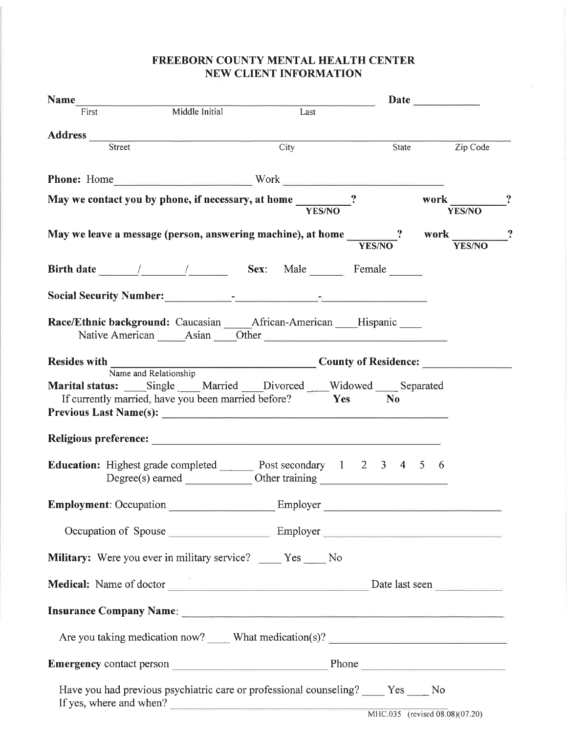## FREEBORN COUNTY MENTAL HEALTH CENTER NEW CLIENT INFORMATION

|                                          |                                                                                                                                         |       | Date          |
|------------------------------------------|-----------------------------------------------------------------------------------------------------------------------------------------|-------|---------------|
| Name<br>Middle Initial<br>Middle Initial | $\begin{array}{c c}\n\hline\n\text{Last}\n\end{array}$                                                                                  |       |               |
|                                          |                                                                                                                                         |       |               |
| Street                                   | $\overline{\text{City}}$                                                                                                                | State | Zip Code      |
|                                          | Phone: Home                                                                                                                             |       |               |
|                                          |                                                                                                                                         |       | work ?        |
|                                          | May we contact you by phone, if necessary, at home $\frac{1}{\sqrt{YS/NO}}$                                                             |       | <b>YES/NO</b> |
|                                          | May we leave a message (person, answering machine), at home $\frac{1}{YES/NO}$ ? work $\frac{1}{YES/NO}$ ?                              |       |               |
|                                          |                                                                                                                                         |       |               |
|                                          | Birth date 11 1 1 Sex: Male Female                                                                                                      |       |               |
|                                          |                                                                                                                                         |       |               |
|                                          | Race/Ethnic background: Caucasian _____ African-American ____ Hispanic ____                                                             |       |               |
|                                          |                                                                                                                                         |       |               |
|                                          |                                                                                                                                         |       |               |
|                                          | Marital status: Single ___ Married ___ Divorced ___ Widowed ___ Separated<br>If currently married, have you been married before? Yes No |       |               |
|                                          |                                                                                                                                         |       |               |
|                                          |                                                                                                                                         |       |               |
| <b>Employment: Occupation</b>            | Employer                                                                                                                                |       |               |
|                                          | Occupation of Spouse Employer Employer                                                                                                  |       |               |
|                                          | Military: Were you ever in military service? ____ Yes ____ No                                                                           |       |               |
|                                          | Medical: Name of doctor <u>examens and a second part of the Date last seen</u> Date last seen                                           |       |               |
|                                          |                                                                                                                                         |       |               |
|                                          | Are you taking medication now? _____ What medication(s)? ________________________                                                       |       |               |
|                                          |                                                                                                                                         |       |               |
|                                          | Have you had previous psychiatric care or professional counseling? _____ Yes ____ No<br>If yes, where and when?                         |       |               |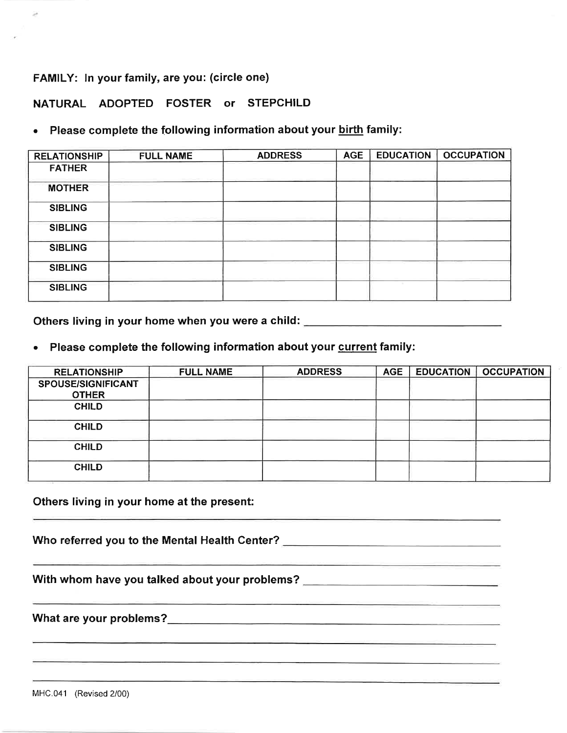FAMILY: In your family, are you: (circle one)

NATURAL ADOPTED FOSTER or STEPCHILD

## Please complete the following information about your birth family:

| <b>RELATIONSHIP</b> | <b>FULL NAME</b> | <b>ADDRESS</b> | <b>AGE</b> | <b>EDUCATION</b> | <b>OCCUPATION</b> |
|---------------------|------------------|----------------|------------|------------------|-------------------|
| <b>FATHER</b>       |                  |                |            |                  |                   |
| <b>MOTHER</b>       |                  |                |            |                  |                   |
| <b>SIBLING</b>      |                  |                |            |                  |                   |
| <b>SIBLING</b>      |                  |                |            |                  |                   |
| <b>SIBLING</b>      |                  |                |            |                  |                   |
| <b>SIBLING</b>      |                  |                |            |                  |                   |
| <b>SIBLING</b>      |                  |                |            |                  |                   |

Others living in your home when you were a child: \_\_\_\_\_\_\_\_\_\_\_\_\_\_\_\_\_\_\_\_\_\_\_\_\_\_\_\_\_\_

Please complete the following information about your current family:

| <b>RELATIONSHIP</b>                | <b>FULL NAME</b> | <b>ADDRESS</b> | <b>AGE</b> | <b>EDUCATION</b> | <b>OCCUPATION</b> |
|------------------------------------|------------------|----------------|------------|------------------|-------------------|
| SPOUSE/SIGNIFICANT<br><b>OTHER</b> |                  |                |            |                  |                   |
| <b>CHILD</b>                       |                  |                |            |                  |                   |
| <b>CHILD</b>                       |                  |                |            |                  |                   |
| <b>CHILD</b>                       |                  |                |            |                  |                   |
| <b>CHILD</b>                       |                  |                |            |                  |                   |

<u> 1989 - Andrea Andrew Barbara, Amerikaansk politik (</u>

Others living in your home at the present:

Who referred you to the Mental Health Center? Network and the Mental Mental Section 2014

With whom have you talked about your problems? \_\_\_\_\_\_\_\_\_\_\_\_\_\_\_\_\_\_\_\_\_\_\_\_\_\_\_\_\_\_\_\_\_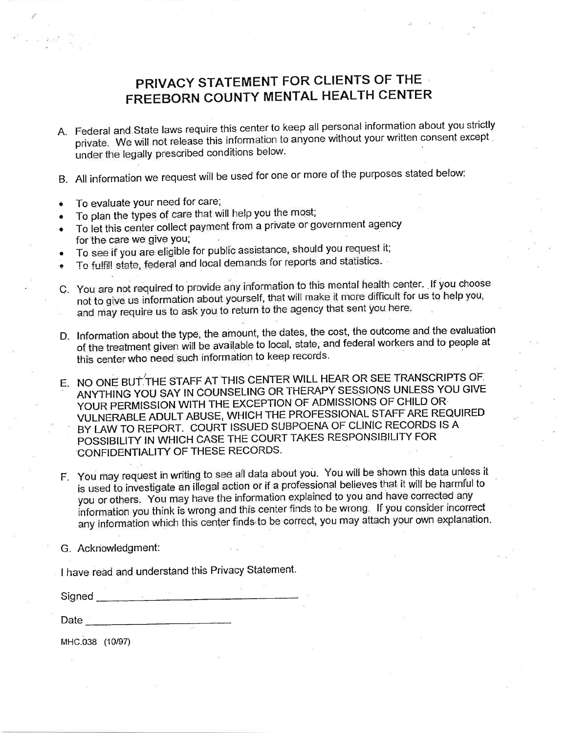# PRIVACY STATEMENT FOR CLIENTS OF THE FREEBORN COUNTY MENTAL HEALTH CENTER

- A. Federal and State laws require this center to keep all personal information about you strictly private. We will not release this information to anyone without your written consent except under the legally prescribed conditions below.
- B. All information we request will be used for one or more of the purposes stated below:
- To evaluate your need for care;  $\hat{\bullet}$
- To plan the types of care that will help you the most;
- To let this center collect payment from a private or government agency for the care we give you;
- To see if you are eligible for public assistance, should you request it;
- To fulfill state, federal and local demands for reports and statistics.
- C. You are not required to provide any information to this mental health center. If you choose not to give us information about yourself, that will make it more difficult for us to help you, and may require us to ask you to return to the agency that sent you here.
- D. Information about the type, the amount, the dates, the cost, the outcome and the evaluation of the treatment given will be available to local, state, and federal workers and to people at this center who need such information to keep records.
- E. NO ONE BUT THE STAFF AT THIS CENTER WILL HEAR OR SEE TRANSCRIPTS OF ANYTHING YOU SAY IN COUNSELING OR THERAPY SESSIONS UNLESS YOU GIVE YOUR PERMISSION WITH THE EXCEPTION OF ADMISSIONS OF CHILD OR VULNERABLE ADULT ABUSE, WHICH THE PROFESSIONAL STAFF ARE REQUIRED BY LAW TO REPORT. COURT ISSUED SUBPOENA OF CLINIC RECORDS IS A POSSIBILITY IN WHICH CASE THE COURT TAKES RESPONSIBILITY FOR CONFIDENTIALITY OF THESE RECORDS.
- F. You may request in writing to see all data about you. You will be shown this data unless it is used to investigate an illegal action or if a professional believes that it will be harmful to you or others. You may have the information explained to you and have corrected any information you think is wrong and this center finds to be wrong. If you consider incorrect any information which this center finds to be correct, you may attach your own explanation.

G. Acknowledgment:

I have read and understand this Privacy Statement.

Signed <u>Communications</u>

MHC.038 (10/97)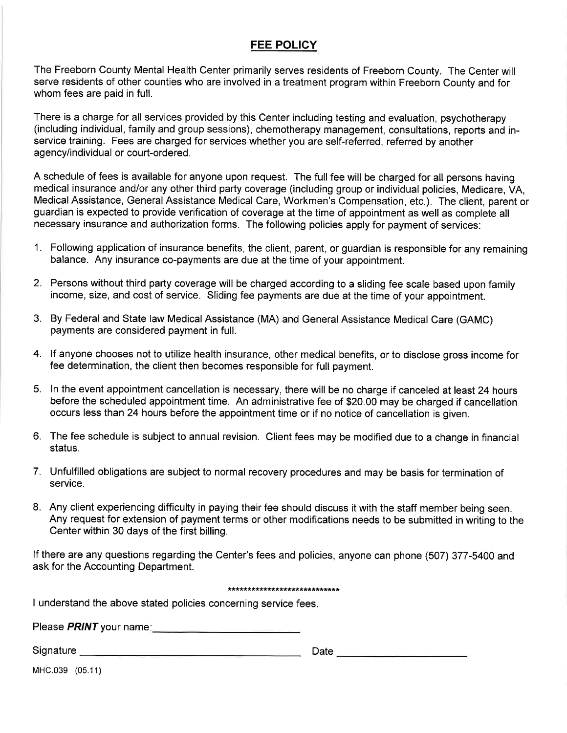## **FEE POLICY**

The Freeborn County Mental Health Center primarily serves residents of Freeborn County. The Center will serve residents of other counties who are involved in a treatment program within Freeborn County and for whom fees are paid in full.

There is a charge for all services provided by this Center including testing and evaluation, psychotherapy (including individual, family and group sessions), chemotherapy management, consultations, reports and inservice training. Fees are charged for services whether you are self-referred, referred by another agency/individual or court-ordered.

A schedule of fees is available for anyone upon request. The full fee will be charged for all persons having medical insurance and/or any other third party coverage (including group or individual policies, Medicare, VA, Medical Assistance, General Assistance Medical Care, Workmen's Compensation, etc.). The client, parent or guardian is expected to provide verification of coverage at the time of appointment as well as complete all necessary insurance and authorization forms. The following policies apply for payment of services:

- 1. Following application of insurance benefits, the client, parent, or guardian is responsible for any remaining balance. Any insurance co-payments are due at the time of your appointment.
- 2. Persons without third party coverage will be charged according to a sliding fee scale based upon family income, size, and cost of service. Sliding fee payments are due at the time of your appointment.
- 3. By Federal and State law Medical Assistance (MA) and General Assistance Medical Care (GAMC) payments are considered payment in full.
- 4. If anyone chooses not to utilize health insurance, other medical benefits, or to disclose gross income for fee determination, the client then becomes responsible for full payment.
- 5. In the event appointment cancellation is necessary, there will be no charge if canceled at least 24 hours before the scheduled appointment time. An administrative fee of \$20.00 may be charged if cancellation occurs less than 24 hours before the appointment time or if no notice of cancellation is given.
- 6. The fee schedule is subject to annual revision. Client fees may be modified due to a change in financial status.
- 7. Unfulfilled obligations are subject to normal recovery procedures and may be basis for termination of service.
- 8. Any client experiencing difficulty in paying their fee should discuss it with the staff member being seen. Any request for extension of payment terms or other modifications needs to be submitted in writing to the Center within 30 days of the first billing.

If there are any questions regarding the Center's fees and policies, anyone can phone (507) 377-5400 and ask for the Accounting Department.

#### \*\*\*\*\*\*\*\*\*\*\*\*\*\*\*\*\*\*\*\*\*\*\*\*\*\*\*\*

I understand the above stated policies concerning service fees.

Please *PRINT* your name:

| Signature | Date |
|-----------|------|
|           |      |

MHC.039 (05.11)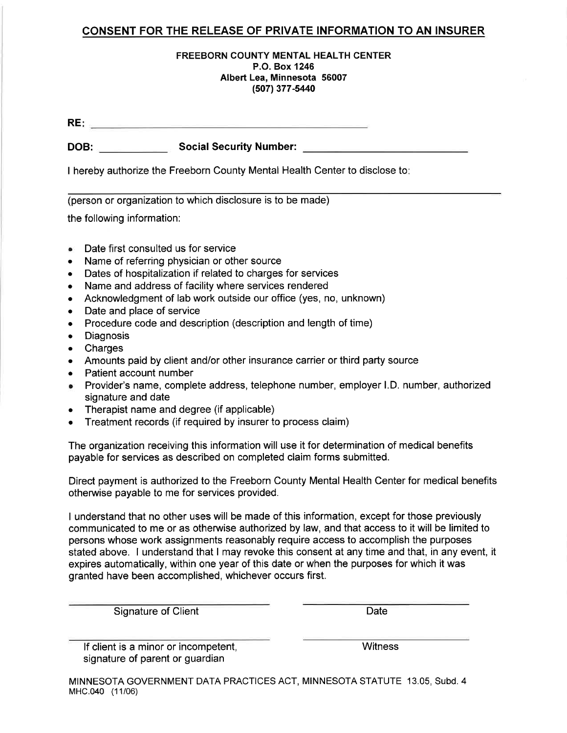## **CONSENT FOR THE RELEASE OF PRIVATE INFORMATION TO AN INSURER**

### **FREEBORN COUNTY MENTAL HEALTH CENTER** P.O. Box 1246 Albert Lea, Minnesota 56007 (507) 377-5440

DOB: Social Security Number:

I hereby authorize the Freeborn County Mental Health Center to disclose to:

(person or organization to which disclosure is to be made)

the following information:

- Date first consulted us for service
- Name of referring physician or other source
- Dates of hospitalization if related to charges for services
- Name and address of facility where services rendered
- Acknowledgment of lab work outside our office (yes, no, unknown)  $\bullet$
- Date and place of service  $\bullet$
- Procedure code and description (description and length of time)  $\bullet$
- Diagnosis  $\bullet$
- Charges
- Amounts paid by client and/or other insurance carrier or third party source
- Patient account number  $\bullet$
- Provider's name, complete address, telephone number, employer I.D. number, authorized signature and date
- Therapist name and degree (if applicable)
- Treatment records (if required by insurer to process claim)

The organization receiving this information will use it for determination of medical benefits payable for services as described on completed claim forms submitted.

Direct payment is authorized to the Freeborn County Mental Health Center for medical benefits otherwise payable to me for services provided.

I understand that no other uses will be made of this information, except for those previously communicated to me or as otherwise authorized by law, and that access to it will be limited to persons whose work assignments reasonably require access to accomplish the purposes stated above. I understand that I may revoke this consent at any time and that, in any event, it expires automatically, within one year of this date or when the purposes for which it was granted have been accomplished, whichever occurs first.

**Signature of Client** 

Date

If client is a minor or incompetent, signature of parent or guardian

Witness

MINNESOTA GOVERNMENT DATA PRACTICES ACT, MINNESOTA STATUTE 13.05, Subd. 4 MHC.040 (11/06)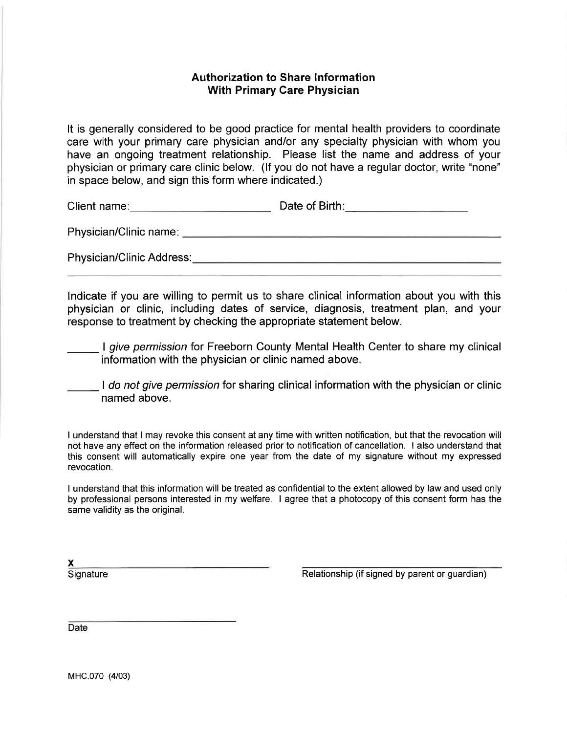## **Authorization to Share Information With Primary Care Physician**

It is generally considered to be good practice for mental health providers to coordinate care with your primary care physician and/or any specialty physician with whom you have an ongoing treatment relationship. Please list the name and address of your physician or primary care clinic below. (If you do not have a regular doctor, write "none" in space below, and sign this form where indicated.)

Client name: Client name: Client name: Client name: Client name: Client name: Client name: Client name: Client

Physician/Clinic Address: North and the control of the control of the control of the control of the control of the control of the control of the control of the control of the control of the control of the control of the co

Indicate if you are willing to permit us to share clinical information about you with this physician or clinic, including dates of service, diagnosis, treatment plan, and your response to treatment by checking the appropriate statement below.

I give permission for Freeborn County Mental Health Center to share my clinical information with the physician or clinic named above.

I do not give permission for sharing clinical information with the physician or clinic named above.

I understand that I may revoke this consent at any time with written notification, but that the revocation will not have any effect on the information released prior to notification of cancellation. I also understand that this consent will automatically expire one year from the date of my signature without my expressed revocation.

I understand that this information will be treated as confidential to the extent allowed by law and used only by professional persons interested in my welfare. I agree that a photocopy of this consent form has the same validity as the original.

Signature

Relationship (if signed by parent or guardian)

Date

MHC.070 (4/03)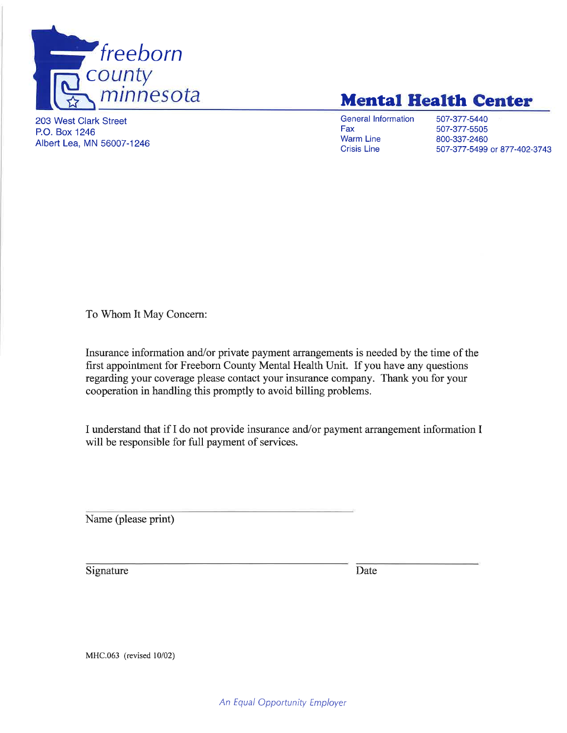

# **Mental Health Center**

203 West Clark Street P.O. Box 1246 Albert Lea, MN 56007-1246 **General Information** Fax **Warm Line Crisis Line** 

507-377-5440 507-377-5505 800-337-2460 507-377-5499 or 877-402-3743

To Whom It May Concern:

Insurance information and/or private payment arrangements is needed by the time of the first appointment for Freeborn County Mental Health Unit. If you have any questions regarding your coverage please contact your insurance company. Thank you for your cooperation in handling this promptly to avoid billing problems.

I understand that if I do not provide insurance and/or payment arrangement information I will be responsible for full payment of services.

Name (please print)

Signature

Date

MHC.063 (revised 10/02)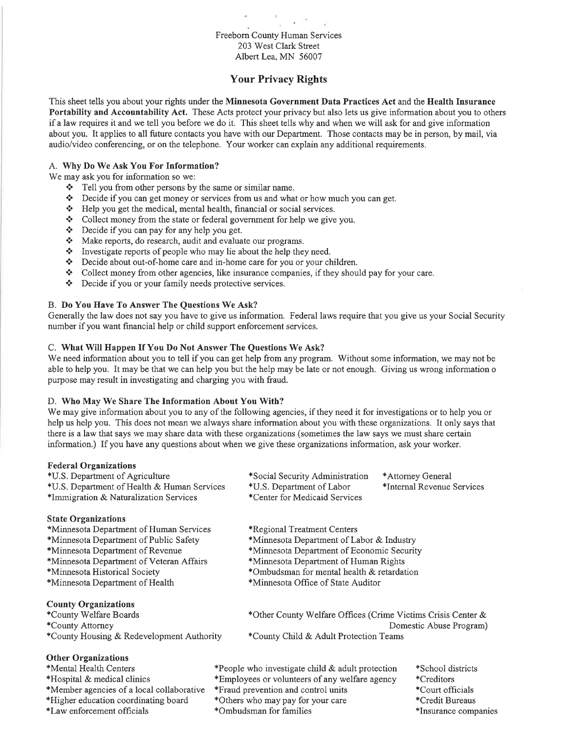## Freeborn County Human Services 203 West Clark Street Albert Lea, MN 56007

## **Your Privacy Rights**

This sheet tells you about your rights under the Minnesota Government Data Practices Act and the Health Insurance Portability and Accountability Act. These Acts protect your privacy but also lets us give information about you to others if a law requires it and we tell you before we do it. This sheet tells why and when we will ask for and give information about you. It applies to all future contacts you have with our Department. Those contacts may be in person, by mail, via audio/video conferencing, or on the telephone. Your worker can explain any additional requirements.

#### A. Why Do We Ask You For Information?

We may ask you for information so we:

- ❖ Tell you from other persons by the same or similar name.
- ❖ Decide if you can get money or services from us and what or how much you can get.
- Help you get the medical, mental health, financial or social services.
- $\mathcal{L}_{\mathcal{C}}$ Collect money from the state or federal government for help we give you.
- Decide if you can pay for any help you get.  $\mathcal{L}_{\mathbf{a}}^{\mathbf{a}}$  .
- Make reports, do research, audit and evaluate our programs.  $\mathbf{e}_\mathbf{a}^\bullet$
- Investigate reports of people who may lie about the help they need.  $\frac{1}{2}$
- $\sigma_{\rm eff}^{\rm th}$ Decide about out-of-home care and in-home care for you or your children.
- $\sigma_{\rm eff}^{\rm th}$ Collect money from other agencies, like insurance companies, if they should pay for your care.
- Decide if you or your family needs protective services.  $\mathbf{e}_\mathbf{e}^\mathbf{e}$

#### B. Do You Have To Answer The Ouestions We Ask?

Generally the law does not say you have to give us information. Federal laws require that you give us your Social Security number if you want financial help or child support enforcement services.

#### C. What Will Happen If You Do Not Answer The Questions We Ask?

We need information about you to tell if you can get help from any program. Without some information, we may not be able to help you. It may be that we can help you but the help may be late or not enough. Giving us wrong information o purpose may result in investigating and charging you with fraud.

#### D. Who May We Share The Information About You With?

We may give information about you to any of the following agencies, if they need it for investigations or to help you or help us help you. This does not mean we always share information about you with these organizations. It only says that there is a law that says we may share data with these organizations (sometimes the law says we must share certain information.) If you have any questions about when we give these organizations information, ask your worker.

| <b>Federal Organizations</b>                |                                                              |                                                                                                                                                                                |  |  |  |
|---------------------------------------------|--------------------------------------------------------------|--------------------------------------------------------------------------------------------------------------------------------------------------------------------------------|--|--|--|
| *U.S. Department of Agriculture             | *Social Security Administration                              | *Attorney General                                                                                                                                                              |  |  |  |
| *U.S. Department of Health & Human Services | *U.S. Department of Labor                                    | *Internal Revenue Services                                                                                                                                                     |  |  |  |
| *Immigration & Naturalization Services      | *Center for Medicaid Services                                |                                                                                                                                                                                |  |  |  |
| <b>State Organizations</b>                  |                                                              |                                                                                                                                                                                |  |  |  |
| *Minnesota Department of Human Services     | *Regional Treatment Centers                                  |                                                                                                                                                                                |  |  |  |
| *Minnesota Department of Public Safety      |                                                              | *Minnesota Department of Labor & Industry<br>*Minnesota Department of Economic Security<br>*Minnesota Department of Human Rights<br>*Ombudsman for mental health & retardation |  |  |  |
| *Minnesota Department of Revenue            |                                                              |                                                                                                                                                                                |  |  |  |
| *Minnesota Department of Veteran Affairs    |                                                              |                                                                                                                                                                                |  |  |  |
| *Minnesota Historical Society               |                                                              |                                                                                                                                                                                |  |  |  |
| *Minnesota Department of Health             | *Minnesota Office of State Auditor                           |                                                                                                                                                                                |  |  |  |
| <b>County Organizations</b>                 |                                                              |                                                                                                                                                                                |  |  |  |
| *County Welfare Boards                      | *Other County Welfare Offices (Crime Victims Crisis Center & |                                                                                                                                                                                |  |  |  |
| *County Attorney                            |                                                              | Domestic Abuse Program)                                                                                                                                                        |  |  |  |
| *County Housing & Redevelopment Authority   | *County Child & Adult Protection Teams                       |                                                                                                                                                                                |  |  |  |
| <b>Other Organizations</b>                  |                                                              |                                                                                                                                                                                |  |  |  |
| *Mental Health Centers                      | *People who investigate child & adult protection             | *School districts                                                                                                                                                              |  |  |  |
| *Hospital & medical clinics                 | *Employees or volunteers of any welfare agency               | *Creditors                                                                                                                                                                     |  |  |  |
| *Member agencies of a local collaborative   | *Fraud prevention and control units                          | *Court officials                                                                                                                                                               |  |  |  |
| *Higher education coordinating board        | *Others who may pay for your care                            | *Credit Bureaus                                                                                                                                                                |  |  |  |
| *Law enforcement officials                  | *Ombudsman for families                                      | *Insurance companies                                                                                                                                                           |  |  |  |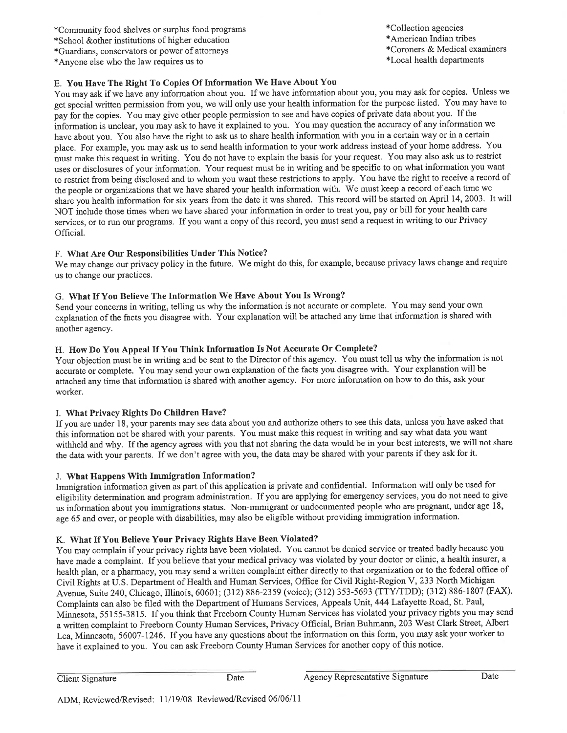\*Community food shelves or surplus food programs

\*School &other institutions of higher education

\*Guardians, conservators or power of attorneys

\*Anyone else who the law requires us to

E. You Have The Right To Copies Of Information We Have About You

You may ask if we have any information about you. If we have information about you, you may ask for copies. Unless we get special written permission from you, we will only use your health information for the purpose listed. You may have to pay for the copies. You may give other people permission to see and have copies of private data about you. If the information is unclear, you may ask to have it explained to you. You may question the accuracy of any information we have about you. You also have the right to ask us to share health information with you in a certain way or in a certain place. For example, you may ask us to send health information to your work address instead of your home address. You must make this request in writing. You do not have to explain the basis for your request. You may also ask us to restrict uses or disclosures of your information. Your request must be in writing and be specific to on what information you want to restrict from being disclosed and to whom you want these restrictions to apply. You have the right to receive a record of the people or organizations that we have shared your health information with. We must keep a record of each time we share you health information for six years from the date it was shared. This record will be started on April 14, 2003. It will NOT include those times when we have shared your information in order to treat you, pay or bill for your health care services, or to run our programs. If you want a copy of this record, you must send a request in writing to our Privacy Official.

### F. What Are Our Responsibilities Under This Notice?

We may change our privacy policy in the future. We might do this, for example, because privacy laws change and require us to change our practices.

### G. What If You Believe The Information We Have About You Is Wrong?

Send your concerns in writing, telling us why the information is not accurate or complete. You may send your own explanation of the facts you disagree with. Your explanation will be attached any time that information is shared with another agency.

### H. How Do You Appeal If You Think Information Is Not Accurate Or Complete?

Your objection must be in writing and be sent to the Director of this agency. You must tell us why the information is not accurate or complete. You may send your own explanation of the facts you disagree with. Your explanation will be attached any time that information is shared with another agency. For more information on how to do this, ask your worker.

### I. What Privacy Rights Do Children Have?

If you are under 18, your parents may see data about you and authorize others to see this data, unless you have asked that this information not be shared with your parents. You must make this request in writing and say what data you want withheld and why. If the agency agrees with you that not sharing the data would be in your best interests, we will not share the data with your parents. If we don't agree with you, the data may be shared with your parents if they ask for it.

### J. What Happens With Immigration Information?

Immigration information given as part of this application is private and confidential. Information will only be used for eligibility determination and program administration. If you are applying for emergency services, you do not need to give us information about you immigrations status. Non-immigrant or undocumented people who are pregnant, under age 18, age 65 and over, or people with disabilities, may also be eligible without providing immigration information.

### K. What If You Believe Your Privacy Rights Have Been Violated?

You may complain if your privacy rights have been violated. You cannot be denied service or treated badly because you have made a complaint. If you believe that your medical privacy was violated by your doctor or clinic, a health insurer, a health plan, or a pharmacy, you may send a written complaint either directly to that organization or to the federal office of Civil Rights at U.S. Department of Health and Human Services, Office for Civil Right-Region V, 233 North Michigan Avenue, Suite 240, Chicago, Illinois, 60601; (312) 886-2359 (voice); (312) 353-5693 (TTY/TDD); (312) 886-1807 (FAX). Complaints can also be filed with the Department of Humans Services, Appeals Unit, 444 Lafayette Road, St. Paul, Minnesota, 55155-3815. If you think that Freeborn County Human Services has violated your privacy rights you may send a written complaint to Freeborn County Human Services, Privacy Official, Brian Buhmann, 203 West Clark Street, Albert Lea, Minnesota, 56007-1246. If you have any questions about the information on this form, you may ask your worker to have it explained to you. You can ask Freeborn County Human Services for another copy of this notice.

**Client Signature** 

Date

Date

\*Collection agencies

\*American Indian tribes

\*Coroners & Medical examiners

\*Local health departments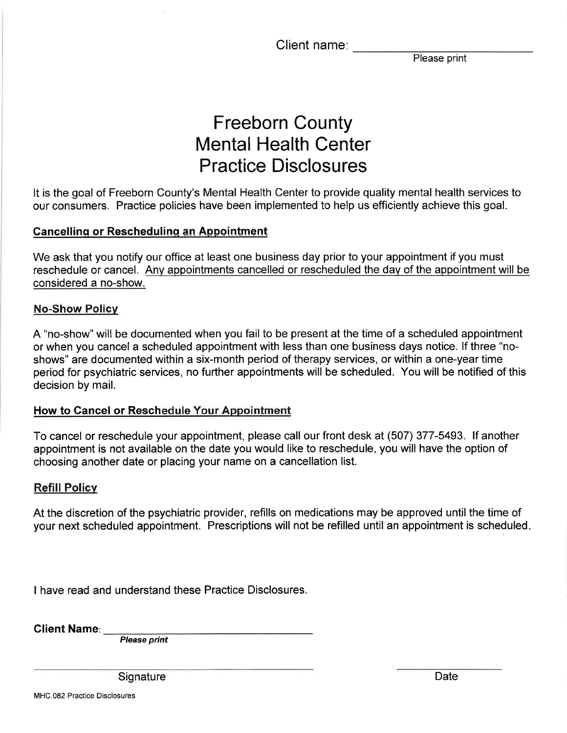Client name:

Please print

# **Freeborn County Mental Health Center Practice Disclosures**

It is the goal of Freeborn County's Mental Health Center to provide quality mental health services to our consumers. Practice policies have been implemented to help us efficiently achieve this goal.

# **Cancelling or Rescheduling an Appointment**

We ask that you notify our office at least one business day prior to your appointment if you must reschedule or cancel. Any appointments cancelled or rescheduled the day of the appointment will be considered a no-show.

# **No-Show Policy**

A "no-show" will be documented when you fail to be present at the time of a scheduled appointment or when you cancel a scheduled appointment with less than one business days notice. If three "noshows" are documented within a six-month period of therapy services, or within a one-year time period for psychiatric services, no further appointments will be scheduled. You will be notified of this decision by mail.

# How to Cancel or Reschedule Your Appointment

To cancel or reschedule your appointment, please call our front desk at (507) 377-5493. If another appointment is not available on the date you would like to reschedule, you will have the option of choosing another date or placing your name on a cancellation list.

# **Refill Policy**

At the discretion of the psychiatric provider, refills on medications may be approved until the time of your next scheduled appointment. Prescriptions will not be refilled until an appointment is scheduled.

I have read and understand these Practice Disclosures.

**Client Name**:

**Please print** 

Signature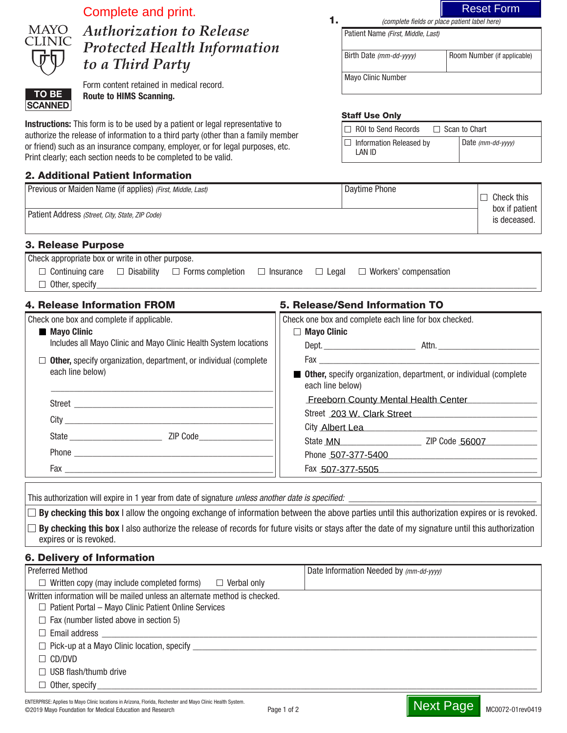|                           | Complete and print.                                                                                                                                                              |                    |                                                       | <b>Reset Form</b>                                                       |
|---------------------------|----------------------------------------------------------------------------------------------------------------------------------------------------------------------------------|--------------------|-------------------------------------------------------|-------------------------------------------------------------------------|
| MAYO                      | <b>Authorization to Release</b>                                                                                                                                                  | 1.                 | Patient Name (First, Middle, Last)                    | (complete fields or place patient label here)                           |
| 'LINIC                    | <b>Protected Health Information</b>                                                                                                                                              |                    |                                                       |                                                                         |
|                           | to a Third Party                                                                                                                                                                 |                    | Birth Date (mm-dd-yyyy)                               | Room Number (if applicable)                                             |
|                           | Form content retained in medical record.                                                                                                                                         |                    | Mayo Clinic Number                                    |                                                                         |
| TO BE<br><b>SCANNED</b>   | <b>Route to HIMS Scanning.</b>                                                                                                                                                   |                    |                                                       |                                                                         |
|                           |                                                                                                                                                                                  |                    | <b>Staff Use Only</b>                                 |                                                                         |
|                           | Instructions: This form is to be used by a patient or legal representative to<br>authorize the release of information to a third party (other than a family member               |                    | $\Box$ ROI to Send Records                            | $\Box$ Scan to Chart                                                    |
|                           | or friend) such as an insurance company, employer, or for legal purposes, etc.<br>Print clearly; each section needs to be completed to be valid.                                 |                    | $\Box$ Information Released by<br>LAN ID              | Date (mm-dd-yyyy)                                                       |
|                           | 2. Additional Patient Information                                                                                                                                                |                    |                                                       |                                                                         |
|                           | Previous or Maiden Name (if applies) (First, Middle, Last)                                                                                                                       |                    | Daytime Phone                                         | $\Box$ Check this                                                       |
|                           | Patient Address (Street, City, State, ZIP Code)                                                                                                                                  |                    |                                                       | box if patient<br>is deceased.                                          |
| <b>3. Release Purpose</b> |                                                                                                                                                                                  |                    |                                                       |                                                                         |
|                           | Check appropriate box or write in other purpose.                                                                                                                                 |                    |                                                       |                                                                         |
| $\Box$ Other, specify     | $\Box$ Continuing care $\Box$ Disability $\Box$ Forms completion $\Box$ Insurance                                                                                                |                    | $\Box$ Legal $\Box$ Workers' compensation             |                                                                         |
|                           | <b>4. Release Information FROM</b>                                                                                                                                               |                    | 5. Release/Send Information TO                        |                                                                         |
|                           | Check one box and complete if applicable.                                                                                                                                        |                    | Check one box and complete each line for box checked. |                                                                         |
| <b>Mayo Clinic</b>        |                                                                                                                                                                                  | $\Box$ Mayo Clinic |                                                       |                                                                         |
|                           | Includes all Mayo Clinic and Mayo Clinic Health System locations                                                                                                                 |                    |                                                       |                                                                         |
|                           | $\Box$ Other, specify organization, department, or individual (complete<br>each line below)                                                                                      |                    |                                                       | <b>Other,</b> specify organization, department, or individual (complete |
|                           |                                                                                                                                                                                  | each line below)   | Freeborn County Mental Health Center                  |                                                                         |
|                           |                                                                                                                                                                                  |                    | Street 203 W. Clark Street                            |                                                                         |
| City                      |                                                                                                                                                                                  |                    | City Albert Lea 2008                                  |                                                                         |
|                           |                                                                                                                                                                                  |                    |                                                       |                                                                         |
|                           |                                                                                                                                                                                  |                    |                                                       | Phone 507-377-5400                                                      |
|                           |                                                                                                                                                                                  |                    | Fax 507-377-5505                                      |                                                                         |
|                           |                                                                                                                                                                                  |                    |                                                       |                                                                         |
|                           | By checking this box I allow the ongoing exchange of information between the above parties until this authorization expires or is revoked.                                       |                    |                                                       |                                                                         |
|                           | $\Box$ By checking this box I also authorize the release of records for future visits or stays after the date of my signature until this authorization<br>expires or is revoked. |                    |                                                       |                                                                         |
|                           |                                                                                                                                                                                  |                    |                                                       |                                                                         |
| <b>Preferred Method</b>   | <b>6. Delivery of Information</b>                                                                                                                                                |                    | Date Information Needed by (mm-dd-yyyy)               |                                                                         |
|                           | $\Box$ Written copy (may include completed forms) $\Box$ Verbal only                                                                                                             |                    |                                                       |                                                                         |
|                           | Written information will be mailed unless an alternate method is checked.<br>$\Box$ Patient Portal - Mayo Clinic Patient Online Services                                         |                    |                                                       |                                                                         |
|                           | $\Box$ Fax (number listed above in section 5)                                                                                                                                    |                    |                                                       |                                                                         |
|                           |                                                                                                                                                                                  |                    |                                                       |                                                                         |
|                           |                                                                                                                                                                                  |                    |                                                       |                                                                         |
| $\Box$ CD/DVD             |                                                                                                                                                                                  |                    |                                                       |                                                                         |
|                           | $\Box$ USB flash/thumb drive                                                                                                                                                     |                    |                                                       |                                                                         |
|                           |                                                                                                                                                                                  |                    |                                                       |                                                                         |

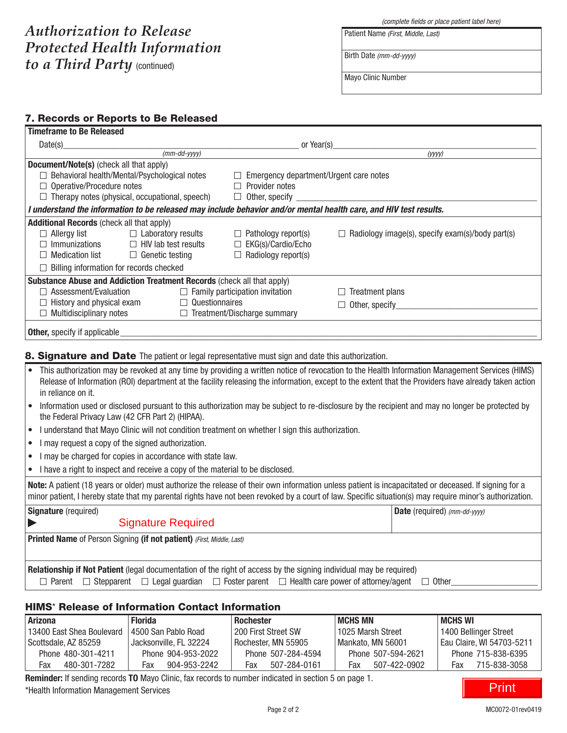# *Authorization to Release Protected Health Information to a Third Party* (continued)

*(complete fields or place patient label here)*

Birth Date *(mm-dd-yyyy)*

Patient Name *(First, Middle, Last)*

Mayo Clinic Number

## 7. Records or Reports to Be Released

| <b>Timeframe to Be Released</b>                                                                                                                                                                                                                                   |                                                                                                                                                 |                                                                                                                                                                                                                                                                                                                  |  |  |
|-------------------------------------------------------------------------------------------------------------------------------------------------------------------------------------------------------------------------------------------------------------------|-------------------------------------------------------------------------------------------------------------------------------------------------|------------------------------------------------------------------------------------------------------------------------------------------------------------------------------------------------------------------------------------------------------------------------------------------------------------------|--|--|
| Date(s)                                                                                                                                                                                                                                                           | or Year(s)                                                                                                                                      |                                                                                                                                                                                                                                                                                                                  |  |  |
| $(mm$ -dd-yyyy)                                                                                                                                                                                                                                                   |                                                                                                                                                 | (yyyy)                                                                                                                                                                                                                                                                                                           |  |  |
| <b>Document/Note(s)</b> (check all that apply)<br>$\Box$ Behavioral health/Mental/Psychological notes<br>$\Box$ Operative/Procedure notes<br>$\Box$ Therapy notes (physical, occupational, speech)                                                                | $\Box$ Emergency department/Urgent care notes<br>$\Box$ Provider notes<br>$\Box$ Other, specify                                                 |                                                                                                                                                                                                                                                                                                                  |  |  |
| I understand the information to be released may include behavior and/or mental health care, and HIV test results.                                                                                                                                                 |                                                                                                                                                 |                                                                                                                                                                                                                                                                                                                  |  |  |
| <b>Additional Records (check all that apply)</b><br>$\Box$ Allergy list<br>$\Box$ Laboratory results<br>$\Box$ Immunizations<br>$\Box$ HIV lab test results<br>$\Box$ Medication list<br>$\Box$ Genetic testing<br>$\Box$ Billing information for records checked | $\Box$ Pathology report(s)<br>$\Box$ EKG(s)/Cardio/Echo<br>$\Box$ Radiology report(s)                                                           | $\Box$ Radiology image(s), specify exam(s)/body part(s)                                                                                                                                                                                                                                                          |  |  |
| Substance Abuse and Addiction Treatment Records (check all that apply)<br>$\Box$ Assessment/Evaluation<br>$\Box$ Questionnaires<br>$\Box$ History and physical exam<br>$\Box$ Multidisciplinary notes                                                             | $\Box$ Family participation invitation<br>$\Box$ Treatment/Discharge summary                                                                    | $\Box$ Treatment plans<br>$\Box$ Other, specify                                                                                                                                                                                                                                                                  |  |  |
| <b>Other,</b> specify if applicable                                                                                                                                                                                                                               |                                                                                                                                                 |                                                                                                                                                                                                                                                                                                                  |  |  |
| 8. Signature and Date The patient or legal representative must sign and date this authorization.                                                                                                                                                                  |                                                                                                                                                 |                                                                                                                                                                                                                                                                                                                  |  |  |
| in reliance on it.                                                                                                                                                                                                                                                |                                                                                                                                                 | This authorization may be revoked at any time by providing a written notice of revocation to the Health Information Management Services (HIMS)<br>Release of Information (ROI) department at the facility releasing the information, except to the extent that the Providers have already taken action           |  |  |
| the Federal Privacy Law (42 CFR Part 2) (HIPAA).<br>I understand that Mayo Clinic will not condition treatment on whether I sign this authorization.                                                                                                              | Information used or disclosed pursuant to this authorization may be subject to re-disclosure by the recipient and may no longer be protected by |                                                                                                                                                                                                                                                                                                                  |  |  |
| $\bullet$<br>I may request a copy of the signed authorization.                                                                                                                                                                                                    |                                                                                                                                                 |                                                                                                                                                                                                                                                                                                                  |  |  |
| $\bullet$<br>I may be charged for copies in accordance with state law.                                                                                                                                                                                            |                                                                                                                                                 |                                                                                                                                                                                                                                                                                                                  |  |  |
| I have a right to inspect and receive a copy of the material to be disclosed.                                                                                                                                                                                     |                                                                                                                                                 |                                                                                                                                                                                                                                                                                                                  |  |  |
|                                                                                                                                                                                                                                                                   |                                                                                                                                                 | Note: A patient (18 years or older) must authorize the release of their own information unless patient is incapacitated or deceased. If signing for a<br>minor patient, I hereby state that my parental rights have not been revoked by a court of law. Specific situation(s) may require minor's authorization. |  |  |
| <b>Signature</b> (required)                                                                                                                                                                                                                                       |                                                                                                                                                 | Date (required) (mm-dd-yyyy)                                                                                                                                                                                                                                                                                     |  |  |
| <b>Signature Required</b>                                                                                                                                                                                                                                         |                                                                                                                                                 |                                                                                                                                                                                                                                                                                                                  |  |  |
| Printed Name of Person Signing (if not patient) (First, Middle, Last)                                                                                                                                                                                             |                                                                                                                                                 |                                                                                                                                                                                                                                                                                                                  |  |  |
| Relationship if Not Patient (legal documentation of the right of access by the signing individual may be required)<br>$\Box$ Parent $\Box$ Stepparent $\Box$ Legal guardian $\Box$ Foster parent $\Box$ Health care power of attorney/agent $\Box$ Other          |                                                                                                                                                 |                                                                                                                                                                                                                                                                                                                  |  |  |

## HIMS\* Release of Information Contact Information

| <b>Arizona</b>            | <b>Florida</b>         | <b>Rochester</b>      | MCHS MN             | MCHS WI                     |
|---------------------------|------------------------|-----------------------|---------------------|-----------------------------|
| 13400 East Shea Boulevard | 4500 San Pablo Road    | l 200 First Street SW | 1025 Marsh Street   | 1400 Bellinger Street       |
| l Scottsdale. AZ 85259    | Jacksonville. FL 32224 | Rochester. MN 55905   | Mankato. MN 56001   | l Eau Claire. WI 54703-5211 |
| Phone 480-301-4211        | Phone 904-953-2022     | Phone 507-284-4594    | Phone 507-594-2621  | Phone 715-838-6395          |
| 480-301-7282<br>Fax       | 904-953-2242<br>Fax    | 507-284-0161<br>Fax   | Fax<br>507-422-0902 | 715-838-3058<br>Fax         |

Reminder: If sending records TO Mayo Clinic, fax records to number indicated in section 5 on page 1. \*Health Information Management Services

Print